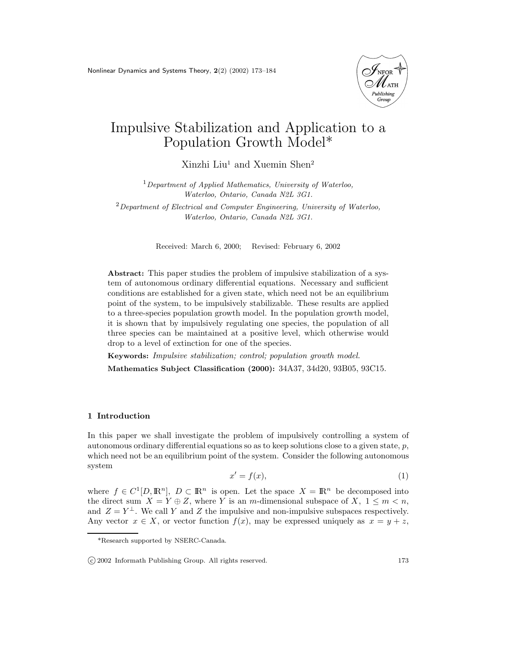

# Impulsive Stabilization and Application to a Population Growth Model\*

Xinzhi Liu<sup>1</sup> and Xuemin Shen<sup>2</sup>

 $1$ Department of Applied Mathematics, University of Waterloo, Waterloo, Ontario, Canada N2L 3G1.

 $2$ Department of Electrical and Computer Engineering, University of Waterloo, Waterloo, Ontario, Canada N2L 3G1.

Received: March 6, 2000; Revised: February 6, 2002

Abstract: This paper studies the problem of impulsive stabilization of a system of autonomous ordinary differential equations. Necessary and sufficient conditions are established for a given state, which need not be an equilibrium point of the system, to be impulsively stabilizable. These results are applied to a three-species population growth model. In the population growth model, it is shown that by impulsively regulating one species, the population of all three species can be maintained at a positive level, which otherwise would drop to a level of extinction for one of the species.

Keywords: Impulsive stabilization; control; population growth model. Mathematics Subject Classification (2000): 34A37, 34d20, 93B05, 93C15.

#### 1 Introduction

In this paper we shall investigate the problem of impulsively controlling a system of autonomous ordinary differential equations so as to keep solutions close to a given state,  $p$ , which need not be an equilibrium point of the system. Consider the following autonomous system

$$
x' = f(x),\tag{1}
$$

where  $f \in C^1[D, \mathbb{R}^n]$ ,  $D \subset \mathbb{R}^n$  is open. Let the space  $X = \mathbb{R}^n$  be decomposed into the direct sum  $X = Y \oplus Z$ , where Y is an m-dimensional subspace of X,  $1 \leq m \leq n$ , and  $Z = Y^{\perp}$ . We call Y and Z the impulsive and non-impulsive subspaces respectively. Any vector  $x \in X$ , or vector function  $f(x)$ , may be expressed uniquely as  $x = y + z$ ,

<sup>\*</sup>Research supported by NSERC-Canada.

c 2002 Informath Publishing Group. All rights reserved. 173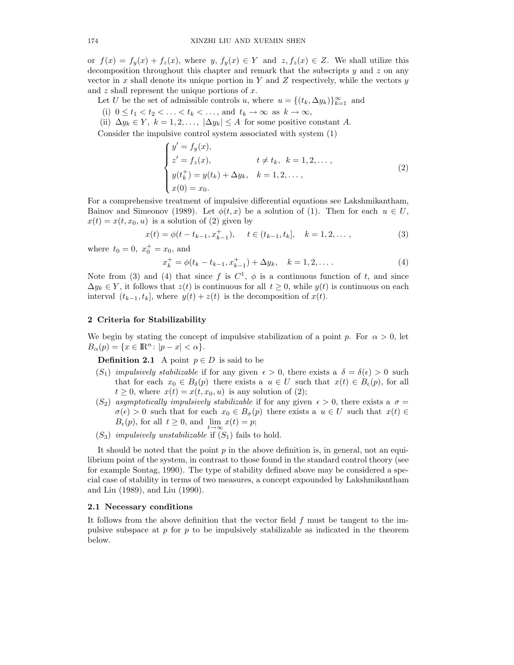or  $f(x) = f_y(x) + f_z(x)$ , where  $y, f_y(x) \in Y$  and  $z, f_z(x) \in Z$ . We shall utilize this decomposition throughout this chapter and remark that the subscripts  $y$  and  $z$  on any vector in  $x$  shall denote its unique portion in  $Y$  and  $Z$  respectively, while the vectors  $y$ and  $z$  shall represent the unique portions of  $x$ .

Let U be the set of admissible controls u, where  $u = \{(t_k, \Delta y_k)\}_{k=1}^{\infty}$  and

(i)  $0 \leq t_1 < t_2 < \ldots < t_k < \ldots$ , and  $t_k \to \infty$  as  $k \to \infty$ ,

(ii)  $\Delta y_k \in Y, k = 1, 2, \ldots, |\Delta y_k| \leq A$  for some positive constant A.

Consider the impulsive control system associated with system (1)

$$
\begin{cases}\ny' = f_y(x), \\
z' = f_z(x), \\
y(t_k^+) = y(t_k) + \Delta y_k, \quad k = 1, 2, \dots, \\
x(0) = x_0.\n\end{cases}
$$
\n(2)

For a comprehensive treatment of impulsive differential equations see Lakshmikantham, Bainov and Simeonov (1989). Let  $\phi(t, x)$  be a solution of (1). Then for each  $u \in U$ ,  $x(t) = x(t, x_0, u)$  is a solution of (2) given by

$$
x(t) = \phi(t - t_{k-1}, x_{k-1}^+), \quad t \in (t_{k-1}, t_k], \quad k = 1, 2, \dots,
$$
 (3)

where  $t_0 = 0, x_0^+ = x_0$ , and

$$
x_k^+ = \phi(t_k - t_{k-1}, x_{k-1}^+) + \Delta y_k, \quad k = 1, 2, \dots
$$
 (4)

Note from (3) and (4) that since f is  $C^1$ ,  $\phi$  is a continuous function of t, and since  $\Delta y_k \in Y$ , it follows that  $z(t)$  is continuous for all  $t \geq 0$ , while  $y(t)$  is continuous on each interval  $(t_{k-1}, t_k]$ , where  $y(t) + z(t)$  is the decomposition of  $x(t)$ .

### 2 Criteria for Stabilizability

We begin by stating the concept of impulsive stabilization of a point p. For  $\alpha > 0$ , let  $B_{\alpha}(p) = \{x \in \mathbb{R}^n : |p - x| < \alpha\}.$ 

**Definition 2.1** A point  $p \in D$  is said to be

- $(S_1)$  impulsively stabilizable if for any given  $\epsilon > 0$ , there exists a  $\delta = \delta(\epsilon) > 0$  such that for each  $x_0 \in B_\delta(p)$  there exists a  $u \in U$  such that  $x(t) \in B_\epsilon(p)$ , for all  $t \geq 0$ , where  $x(t) = x(t, x_0, u)$  is any solution of (2);
- $(S_2)$  asymptotically impulsively stabilizable if for any given  $\epsilon > 0$ , there exists a  $\sigma =$  $\sigma(\epsilon) > 0$  such that for each  $x_0 \in B_{\sigma}(p)$  there exists a  $u \in U$  such that  $x(t) \in$  $B_{\epsilon}(p)$ , for all  $t \geq 0$ , and  $\lim_{t \to \infty} x(t) = p$ ;
- $(S_3)$  impulsively unstabilizable if  $(S_1)$  fails to hold.

It should be noted that the point  $p$  in the above definition is, in general, not an equilibrium point of the system, in contrast to those found in the standard control theory (see for example Sontag, 1990). The type of stability defined above may be considered a special case of stability in terms of two measures, a concept expounded by Lakshmikantham and Liu (1989), and Liu (1990).

# 2.1 Necessary conditions

It follows from the above definition that the vector field  $f$  must be tangent to the impulsive subspace at  $p$  for  $p$  to be impulsively stabilizable as indicated in the theorem below.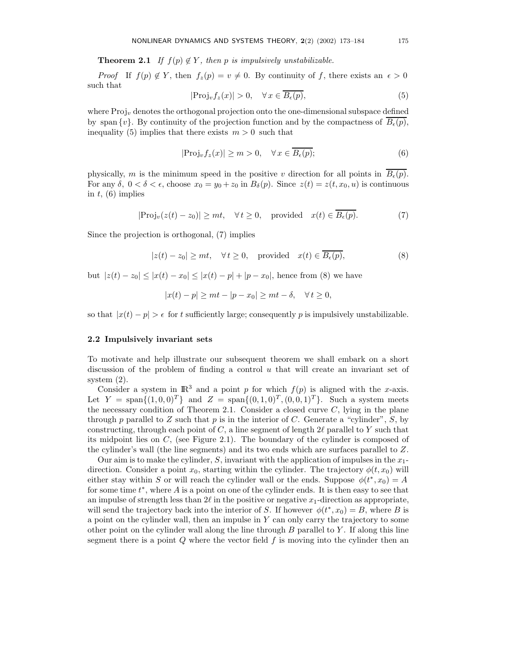**Theorem 2.1** If  $f(p) \notin Y$ , then p is impulsively unstabilizable.

*Proof* If  $f(p) \notin Y$ , then  $f_z(p) = v \neq 0$ . By continuity of f, there exists an  $\epsilon > 0$ such that

$$
|\text{Proj}_v f_z(x)| > 0, \quad \forall \, x \in \overline{B_{\epsilon}(p)},\tag{5}
$$

where  $\text{Proj}_v$  denotes the orthogonal projection onto the one-dimensional subspace defined by span  $\{v\}$ . By continuity of the projection function and by the compactness of  $B_{\epsilon}(p)$ , inequality (5) implies that there exists  $m > 0$  such that

$$
|\text{Proj}_v f_z(x)| \ge m > 0, \quad \forall \, x \in \overline{B_{\epsilon}(p)};\tag{6}
$$

physically, m is the minimum speed in the positive v direction for all points in  $B_{\epsilon}(p)$ . For any  $\delta$ ,  $0 < \delta < \epsilon$ , choose  $x_0 = y_0 + z_0$  in  $B_\delta(p)$ . Since  $z(t) = z(t, x_0, u)$  is continuous in  $t$ ,  $(6)$  implies

$$
|\text{Proj}_v(z(t) - z_0)| \ge mt, \quad \forall \, t \ge 0, \quad \text{provided} \quad x(t) \in \overline{B_{\epsilon}(p)}.
$$
 (7)

Since the projection is orthogonal, (7) implies

$$
|z(t) - z_0| \ge mt, \quad \forall \, t \ge 0, \quad \text{provided} \quad x(t) \in \overline{B_{\epsilon}(p)},\tag{8}
$$

but  $|z(t) - z_0| \leq |x(t) - x_0| \leq |x(t) - p| + |p - x_0|$ , hence from (8) we have

$$
|x(t) - p| \ge mt - |p - x_0| \ge mt - \delta, \quad \forall t \ge 0,
$$

so that  $|x(t) - p| > \epsilon$  for t sufficiently large; consequently p is impulsively unstabilizable.

### 2.2 Impulsively invariant sets

To motivate and help illustrate our subsequent theorem we shall embark on a short discussion of the problem of finding a control  $u$  that will create an invariant set of system (2).

Consider a system in  $\mathbb{R}^3$  and a point p for which  $f(p)$  is aligned with the x-axis. Let  $Y = \text{span}\{(1,0,0)^T\}$  and  $Z = \text{span}\{(0,1,0)^T, (0,0,1)^T\}$ . Such a system meets the necessary condition of Theorem 2.1. Consider a closed curve  $C$ , lying in the plane through p parallel to Z such that p is in the interior of C. Generate a "cylinder",  $S$ , by constructing, through each point of  $C$ , a line segment of length 2 $\ell$  parallel to Y such that its midpoint lies on  $C$ , (see Figure 2.1). The boundary of the cylinder is composed of the cylinder's wall (the line segments) and its two ends which are surfaces parallel to Z.

Our aim is to make the cylinder, S, invariant with the application of impulses in the  $x_1$ direction. Consider a point  $x_0$ , starting within the cylinder. The trajectory  $\phi(t, x_0)$  will either stay within S or will reach the cylinder wall or the ends. Suppose  $\phi(t^*, x_0) = A$ for some time  $t^*$ , where A is a point on one of the cylinder ends. It is then easy to see that an impulse of strength less than  $2\ell$  in the positive or negative  $x_1$ -direction as appropriate, will send the trajectory back into the interior of S. If however  $\phi(t^*, x_0) = B$ , where B is a point on the cylinder wall, then an impulse in  $Y$  can only carry the trajectory to some other point on the cylinder wall along the line through  $B$  parallel to  $Y$ . If along this line segment there is a point  $Q$  where the vector field  $f$  is moving into the cylinder then an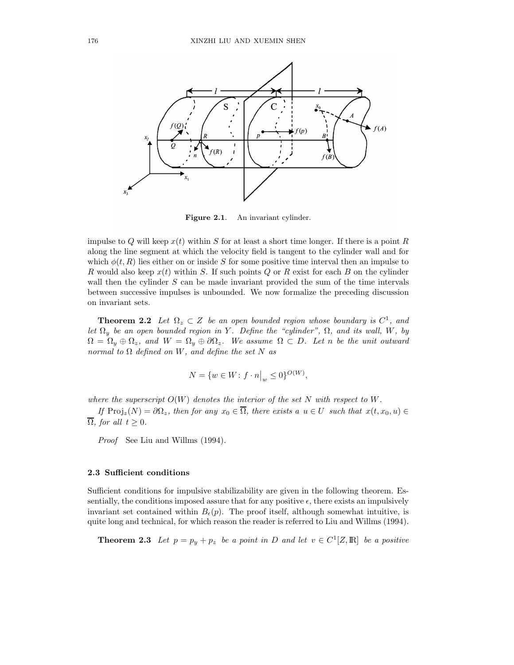

Figure 2.1. An invariant cylinder.

impulse to Q will keep  $x(t)$  within S for at least a short time longer. If there is a point R along the line segment at which the velocity field is tangent to the cylinder wall and for which  $\phi(t, R)$  lies either on or inside S for some positive time interval then an impulse to R would also keep  $x(t)$  within S. If such points Q or R exist for each B on the cylinder wall then the cylinder  $S$  can be made invariant provided the sum of the time intervals between successive impulses is unbounded. We now formalize the preceding discussion on invariant sets.

**Theorem 2.2** Let  $\Omega_z \subset Z$  be an open bounded region whose boundary is  $C^1$ , and let  $\Omega_y$  be an open bounded region in Y. Define the "cylinder",  $\Omega$ , and its wall, W, by  $\Omega = \Omega_y \oplus \Omega_z$ , and  $W = \Omega_y \oplus \partial \Omega_z$ . We assume  $\Omega \subset D$ . Let n be the unit outward normal to  $\Omega$  defined on W, and define the set N as

$$
N = \{ w \in W \colon f \cdot n \big|_w \le 0 \}^{O(W)},
$$

where the superscript  $O(W)$  denotes the interior of the set N with respect to W.

If  $\text{Proj}_z(N) = \partial \Omega_z$ , then for any  $x_0 \in \overline{\Omega}$ , there exists a  $u \in U$  such that  $x(t, x_0, u) \in$  $\overline{\Omega}$ , for all  $t \geq 0$ .

Proof See Liu and Willms (1994).

#### 2.3 Sufficient conditions

Sufficient conditions for impulsive stabilizability are given in the following theorem. Essentially, the conditions imposed assure that for any positive  $\epsilon$ , there exists an impulsively invariant set contained within  $B_{\epsilon}(p)$ . The proof itself, although somewhat intuitive, is quite long and technical, for which reason the reader is referred to Liu and Willms (1994).

**Theorem 2.3** Let  $p = p_y + p_z$  be a point in D and let  $v \in C^1[Z, \mathbb{R}]$  be a positive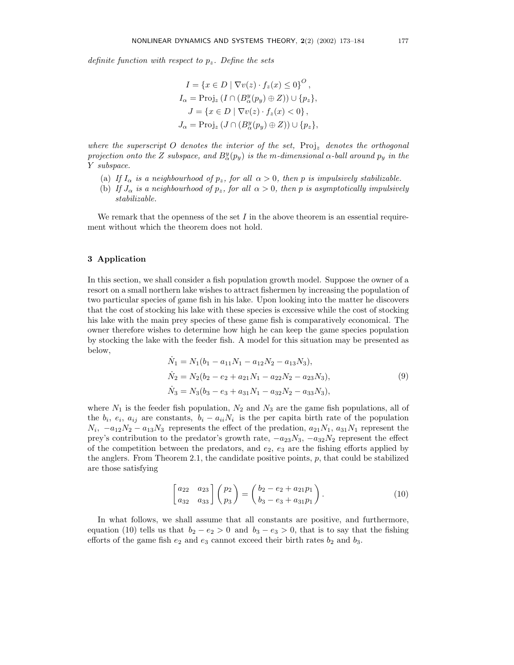definite function with respect to  $p_z$ . Define the sets

$$
I = \{x \in D \mid \nabla v(z) \cdot f_z(x) \le 0\}^O,
$$
  
\n
$$
I_\alpha = \text{Proj}_z \ (I \cap (B^y_\alpha(p_y) \oplus Z)) \cup \{p_z\},
$$
  
\n
$$
J = \{x \in D \mid \nabla v(z) \cdot f_z(x) < 0\},
$$
  
\n
$$
J_\alpha = \text{Proj}_z \ (J \cap (B^y_\alpha(p_y) \oplus Z)) \cup \{p_z\},
$$

where the superscript O denotes the interior of the set,  $Proj_z$  denotes the orthogonal projection onto the Z subspace, and  $B^y_\alpha(p_y)$  is the m-dimensional  $\alpha$ -ball around  $p_y$  in the Y subspace.

- (a) If  $I_{\alpha}$  is a neighbourhood of  $p_z$ , for all  $\alpha > 0$ , then p is impulsively stabilizable.
- (b) If  $J_{\alpha}$  is a neighbourhood of  $p_z$ , for all  $\alpha > 0$ , then p is asymptotically impulsively stabilizable.

We remark that the openness of the set  $I$  in the above theorem is an essential requirement without which the theorem does not hold.

# 3 Application

In this section, we shall consider a fish population growth model. Suppose the owner of a resort on a small northern lake wishes to attract fishermen by increasing the population of two particular species of game fish in his lake. Upon looking into the matter he discovers that the cost of stocking his lake with these species is excessive while the cost of stocking his lake with the main prey species of these game fish is comparatively economical. The owner therefore wishes to determine how high he can keep the game species population by stocking the lake with the feeder fish. A model for this situation may be presented as below,

$$
\dot{N}_1 = N_1(b_1 - a_{11}N_1 - a_{12}N_2 - a_{13}N_3),
$$
\n
$$
\dot{N}_2 = N_2(b_2 - e_2 + a_{21}N_1 - a_{22}N_2 - a_{23}N_3),
$$
\n
$$
\dot{N}_3 = N_3(b_3 - e_3 + a_{31}N_1 - a_{32}N_2 - a_{33}N_3),
$$
\n(9)

where  $N_1$  is the feeder fish population,  $N_2$  and  $N_3$  are the game fish populations, all of the  $b_i$ ,  $e_i$ ,  $a_{ij}$  are constants,  $b_i - a_{ii}N_i$  is the per capita birth rate of the population  $N_i$ ,  $-a_{12}N_2 - a_{13}N_3$  represents the effect of the predation,  $a_{21}N_1$ ,  $a_{31}N_1$  represent the prey's contribution to the predator's growth rate,  $-a_{23}N_3$ ,  $-a_{32}N_2$  represent the effect of the competition between the predators, and  $e_2$ ,  $e_3$  are the fishing efforts applied by the anglers. From Theorem 2.1, the candidate positive points,  $p$ , that could be stabilized are those satisfying

$$
\begin{bmatrix} a_{22} & a_{23} \ a_{32} & a_{33} \end{bmatrix} \begin{pmatrix} p_2 \ p_3 \end{pmatrix} = \begin{pmatrix} b_2 - e_2 + a_{21}p_1 \ b_3 - e_3 + a_{31}p_1 \end{pmatrix}.
$$
 (10)

In what follows, we shall assume that all constants are positive, and furthermore, equation (10) tells us that  $b_2 - e_2 > 0$  and  $b_3 - e_3 > 0$ , that is to say that the fishing efforts of the game fish  $e_2$  and  $e_3$  cannot exceed their birth rates  $b_2$  and  $b_3$ .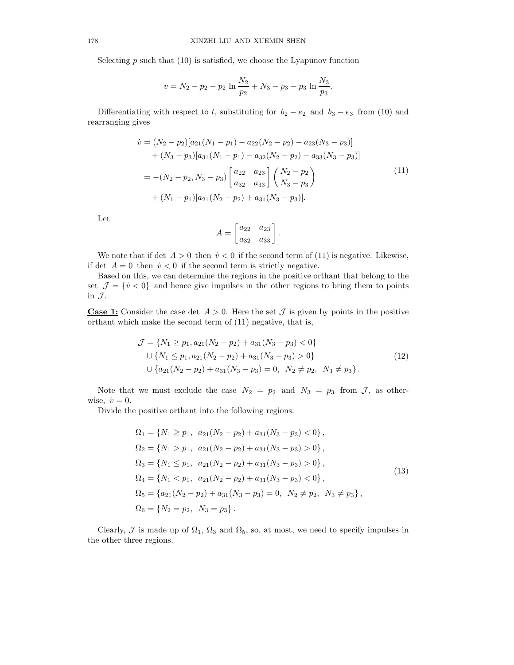Selecting  $p$  such that  $(10)$  is satisfied, we choose the Lyapunov function

$$
v = N_2 - p_2 - p_2 \ln \frac{N_2}{p_2} + N_3 - p_3 - p_3 \ln \frac{N_3}{p_3}.
$$

Differentiating with respect to t, substituting for  $b_2 - e_2$  and  $b_3 - e_3$  from (10) and rearranging gives

$$
\dot{v} = (N_2 - p_2)[a_{21}(N_1 - p_1) - a_{22}(N_2 - p_2) - a_{23}(N_3 - p_3)] \n+ (N_3 - p_3)[a_{31}(N_1 - p_1) - a_{32}(N_2 - p_2) - a_{33}(N_3 - p_3)] \n= -(N_2 - p_2, N_3 - p_3) \begin{bmatrix} a_{22} & a_{23} \\ a_{32} & a_{33} \end{bmatrix} {N_2 - p_2 \choose N_3 - p_3} \n+ (N_1 - p_1)[a_{21}(N_2 - p_2) + a_{31}(N_3 - p_3)].
$$
\n(11)

Let

$$
A = \begin{bmatrix} a_{22} & a_{23} \\ a_{32} & a_{33} \end{bmatrix}.
$$

We note that if det  $A > 0$  then  $\dot{v} < 0$  if the second term of (11) is negative. Likewise, if det  $A = 0$  then  $\dot{v} < 0$  if the second term is strictly negative.

Based on this, we can determine the regions in the positive orthant that belong to the set  $\mathcal{J} = \{v < 0\}$  and hence give impulses in the other regions to bring them to points in  $\mathcal{J}$ .

**Case 1:** Consider the case det  $A > 0$ . Here the set  $\mathcal J$  is given by points in the positive orthant which make the second term of (11) negative, that is,

$$
\mathcal{J} = \{N_1 \ge p_1, a_{21}(N_2 - p_2) + a_{31}(N_3 - p_3) < 0\}
$$
\n
$$
\cup \{N_1 \le p_1, a_{21}(N_2 - p_2) + a_{31}(N_3 - p_3) > 0\}
$$
\n
$$
\cup \{a_{21}(N_2 - p_2) + a_{31}(N_3 - p_3) = 0, N_2 \ne p_2, N_3 \ne p_3\}.
$$
\n
$$
(12)
$$

Note that we must exclude the case  $N_2 = p_2$  and  $N_3 = p_3$  from J, as otherwise,  $\dot{v} = 0$ .

Divide the positive orthant into the following regions:

$$
\Omega_1 = \{N_1 \ge p_1, a_{21}(N_2 - p_2) + a_{31}(N_3 - p_3) < 0\},
$$
\n
$$
\Omega_2 = \{N_1 > p_1, a_{21}(N_2 - p_2) + a_{31}(N_3 - p_3) > 0\},
$$
\n
$$
\Omega_3 = \{N_1 \le p_1, a_{21}(N_2 - p_2) + a_{31}(N_3 - p_3) > 0\},
$$
\n
$$
\Omega_4 = \{N_1 < p_1, a_{21}(N_2 - p_2) + a_{31}(N_3 - p_3) < 0\},
$$
\n
$$
\Omega_5 = \{a_{21}(N_2 - p_2) + a_{31}(N_3 - p_3) = 0, N_2 \ne p_2, N_3 \ne p_3\},
$$
\n
$$
\Omega_6 = \{N_2 = p_2, N_3 = p_3\}.
$$
\n
$$
(13)
$$

Clearly,  $\mathcal J$  is made up of  $\Omega_1$ ,  $\Omega_3$  and  $\Omega_5$ , so, at most, we need to specify impulses in the other three regions.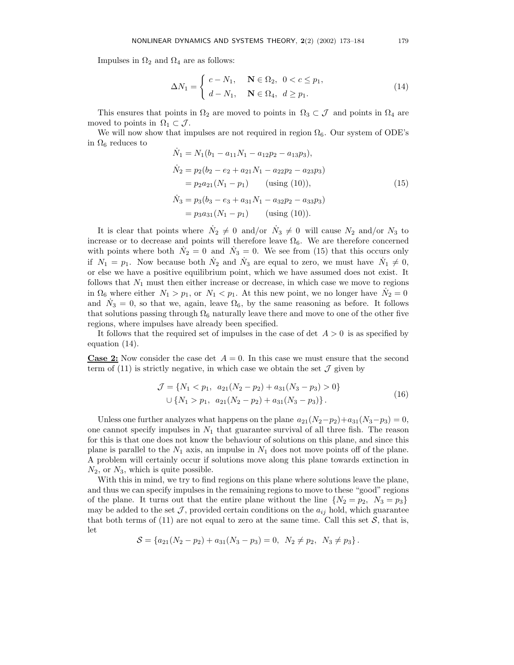Impulses in  $\Omega_2$  and  $\Omega_4$  are as follows:

$$
\Delta N_1 = \begin{cases} c - N_1, & \mathbf{N} \in \Omega_2, \ 0 < c \le p_1, \\ d - N_1, & \mathbf{N} \in \Omega_4, \ d \ge p_1. \end{cases}
$$
\n(14)

This ensures that points in  $\Omega_2$  are moved to points in  $\Omega_3 \subset \mathcal{J}$  and points in  $\Omega_4$  are moved to points in  $\Omega_1 \subset \mathcal{J}$ .

We will now show that impulses are not required in region  $\Omega_6$ . Our system of ODE's in  $\Omega_6$  reduces to

$$
\dot{N}_1 = N_1(b_1 - a_{11}N_1 - a_{12}p_2 - a_{13}p_3),
$$
\n
$$
\dot{N}_2 = p_2(b_2 - e_2 + a_{21}N_1 - a_{22}p_2 - a_{23}p_3)
$$
\n
$$
= p_2a_{21}(N_1 - p_1) \qquad \text{(using (10))},
$$
\n
$$
\dot{N}_3 = p_3(b_3 - e_3 + a_{31}N_1 - a_{32}p_2 - a_{33}p_3)
$$
\n
$$
= p_3a_{31}(N_1 - p_1) \qquad \text{(using (10))}.
$$
\n(15)

It is clear that points where  $\dot{N}_2 \neq 0$  and/or  $\dot{N}_3 \neq 0$  will cause  $N_2$  and/or  $N_3$  to increase or to decrease and points will therefore leave  $\Omega_6$ . We are therefore concerned with points where both  $\dot{N}_2 = 0$  and  $\dot{N}_3 = 0$ . We see from (15) that this occurs only if  $N_1 = p_1$ . Now because both  $N_2$  and  $N_3$  are equal to zero, we must have  $N_1 \neq 0$ , or else we have a positive equilibrium point, which we have assumed does not exist. It follows that  $N_1$  must then either increase or decrease, in which case we move to regions in  $\Omega_6$  where either  $N_1 > p_1$ , or  $N_1 < p_1$ . At this new point, we no longer have  $N_2 = 0$ and  $\dot{N}_3 = 0$ , so that we, again, leave  $\Omega_6$ , by the same reasoning as before. It follows that solutions passing through  $\Omega_6$  naturally leave there and move to one of the other five regions, where impulses have already been specified.

It follows that the required set of impulses in the case of det  $A > 0$  is as specified by equation (14).

**Case 2:** Now consider the case det  $A = 0$ . In this case we must ensure that the second term of (11) is strictly negative, in which case we obtain the set  $\mathcal J$  given by

$$
\mathcal{J} = \{ N_1 < p_1, \ a_{21}(N_2 - p_2) + a_{31}(N_3 - p_3) > 0 \} \\
 \cup \{ N_1 > p_1, \ a_{21}(N_2 - p_2) + a_{31}(N_3 - p_3) \}.\n \tag{16}
$$

Unless one further analyzes what happens on the plane  $a_{21}(N_2-p_2)+a_{31}(N_3-p_3)=0$ , one cannot specify impulses in  $N_1$  that guarantee survival of all three fish. The reason for this is that one does not know the behaviour of solutions on this plane, and since this plane is parallel to the  $N_1$  axis, an impulse in  $N_1$  does not move points off of the plane. A problem will certainly occur if solutions move along this plane towards extinction in  $N_2$ , or  $N_3$ , which is quite possible.

With this in mind, we try to find regions on this plane where solutions leave the plane, and thus we can specify impulses in the remaining regions to move to these "good" regions of the plane. It turns out that the entire plane without the line  $\{N_2 = p_2, N_3 = p_3\}$ may be added to the set  $\mathcal{J}$ , provided certain conditions on the  $a_{ij}$  hold, which guarantee that both terms of (11) are not equal to zero at the same time. Call this set  $S$ , that is, let

$$
S = \{a_{21}(N_2 - p_2) + a_{31}(N_3 - p_3) = 0, N_2 \neq p_2, N_3 \neq p_3\}.
$$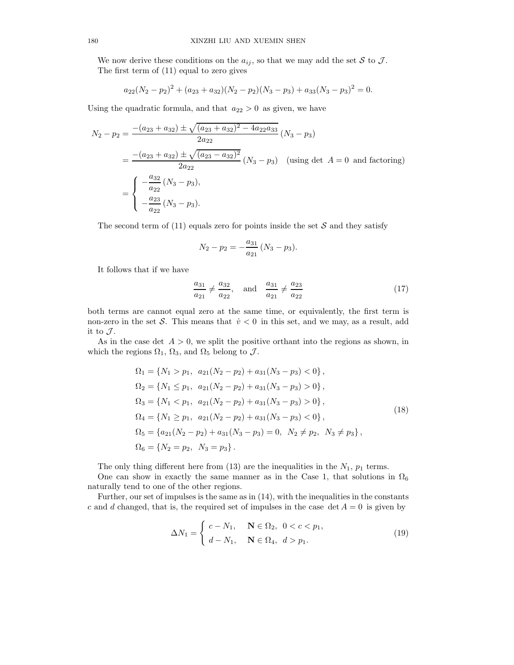We now derive these conditions on the  $a_{ij}$ , so that we may add the set S to J. The first term of (11) equal to zero gives

$$
a_{22}(N_2-p_2)^2 + (a_{23} + a_{32})(N_2-p_2)(N_3-p_3) + a_{33}(N_3-p_3)^2 = 0.
$$

Using the quadratic formula, and that  $a_{22} > 0$  as given, we have

$$
N_2 - p_2 = \frac{-(a_{23} + a_{32}) \pm \sqrt{(a_{23} + a_{32})^2 - 4a_{22}a_{33}}}{2a_{22}} (N_3 - p_3)
$$
  
= 
$$
\frac{-(a_{23} + a_{32}) \pm \sqrt{(a_{23} - a_{32})^2}}{2a_{22}} (N_3 - p_3)
$$
 (using det  $A = 0$  and factoring)  
= 
$$
\begin{cases} -\frac{a_{32}}{a_{22}} (N_3 - p_3), \\ -\frac{a_{23}}{a_{22}} (N_3 - p_3). \end{cases}
$$

The second term of (11) equals zero for points inside the set  $S$  and they satisfy

$$
N_2 - p_2 = -\frac{a_{31}}{a_{21}} (N_3 - p_3).
$$

It follows that if we have

$$
\frac{a_{31}}{a_{21}} \neq \frac{a_{32}}{a_{22}}, \quad \text{and} \quad \frac{a_{31}}{a_{21}} \neq \frac{a_{23}}{a_{22}} \tag{17}
$$

both terms are cannot equal zero at the same time, or equivalently, the first term is non-zero in the set S. This means that  $\dot{v} < 0$  in this set, and we may, as a result, add it to  $\mathcal{J}.$ 

As in the case det  $A > 0$ , we split the positive orthant into the regions as shown, in which the regions  $\Omega_1$ ,  $\Omega_3$ , and  $\Omega_5$  belong to  $\mathcal{J}$ .

$$
\Omega_1 = \{N_1 > p_1, a_{21}(N_2 - p_2) + a_{31}(N_3 - p_3) < 0\},
$$
\n
$$
\Omega_2 = \{N_1 \le p_1, a_{21}(N_2 - p_2) + a_{31}(N_3 - p_3) > 0\},
$$
\n
$$
\Omega_3 = \{N_1 < p_1, a_{21}(N_2 - p_2) + a_{31}(N_3 - p_3) > 0\},
$$
\n
$$
\Omega_4 = \{N_1 \ge p_1, a_{21}(N_2 - p_2) + a_{31}(N_3 - p_3) < 0\},
$$
\n
$$
\Omega_5 = \{a_{21}(N_2 - p_2) + a_{31}(N_3 - p_3) = 0, N_2 \ne p_2, N_3 \ne p_3\},
$$
\n
$$
\Omega_6 = \{N_2 = p_2, N_3 = p_3\}.
$$
\n(18)

The only thing different here from  $(13)$  are the inequalities in the  $N_1$ ,  $p_1$  terms.

One can show in exactly the same manner as in the Case 1, that solutions in  $\Omega_6$ naturally tend to one of the other regions.

Further, our set of impulses is the same as in (14), with the inequalities in the constants c and d changed, that is, the required set of impulses in the case  $\det A = 0$  is given by

$$
\Delta N_1 = \begin{cases} c - N_1, & \mathbf{N} \in \Omega_2, \ 0 < c < p_1, \\ d - N_1, & \mathbf{N} \in \Omega_4, \ d > p_1. \end{cases}
$$
(19)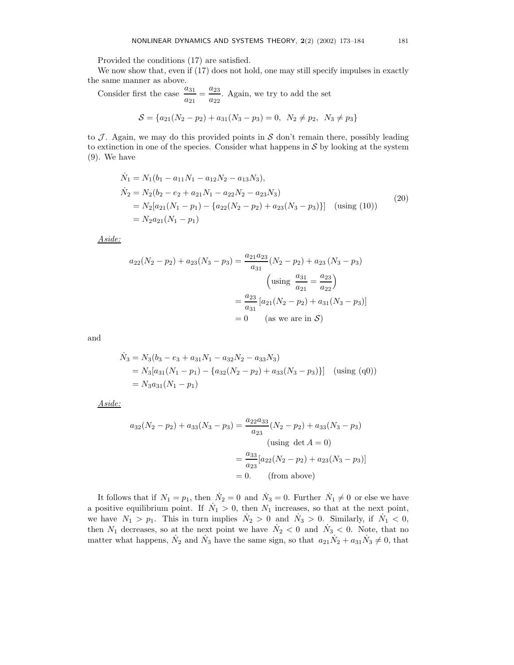Provided the conditions (17) are satisfied.

We now show that, even if (17) does not hold, one may still specify impulses in exactly the same manner as above.

Consider first the case 
$$
\frac{a_{31}}{a_{21}} = \frac{a_{23}}{a_{22}}
$$
. Again, we try to add the set  

$$
S = \{a_{21}(N_2 - p_2) + a_{31}(N_3 - p_3) = 0, N_2 \neq p_2, N_3 \neq p_3\}
$$

to  $\mathcal J$ . Again, we may do this provided points in  $\mathcal S$  don't remain there, possibly leading to extinction in one of the species. Consider what happens in  $S$  by looking at the system (9). We have

$$
\begin{aligned}\n\dot{N}_1 &= N_1(b_1 - a_{11}N_1 - a_{12}N_2 - a_{13}N_3), \\
\dot{N}_2 &= N_2(b_2 - e_2 + a_{21}N_1 - a_{22}N_2 - a_{23}N_3) \\
&= N_2[a_{21}(N_1 - p_1) - \{a_{22}(N_2 - p_2) + a_{23}(N_3 - p_3)\}] \quad \text{(using (10))} \\
&= N_2a_{21}(N_1 - p_1)\n\end{aligned}
$$
\n
$$
\begin{aligned}\n\dot{N}_1 &= N_1(b_1 - a_{11}N_1 - a_{12}N_2 - a_{13}N_3), \\
&= N_2[a_{21}(N_1 - p_1) - \{a_{22}(N_2 - p_2) + a_{23}(N_3 - p_3)\}] \quad \text{(using (10))}\n\end{aligned}
$$

Aside:

$$
a_{22}(N_2 - p_2) + a_{23}(N_3 - p_3) = \frac{a_{21}a_{23}}{a_{31}}(N_2 - p_2) + a_{23}(N_3 - p_3)
$$

$$
\left(\text{using } \frac{a_{31}}{a_{21}} = \frac{a_{23}}{a_{22}}\right)
$$

$$
= \frac{a_{23}}{a_{31}}[a_{21}(N_2 - p_2) + a_{31}(N_3 - p_3)]
$$

$$
= 0 \qquad \text{(as we are in S)}
$$

and

$$
\dot{N}_3 = N_3(b_3 - e_3 + a_{31}N_1 - a_{32}N_2 - a_{33}N_3)
$$
  
=  $N_3[a_{31}(N_1 - p_1) - \{a_{32}(N_2 - p_2) + a_{33}(N_3 - p_3)\}]$  (using (q0))  
=  $N_3a_{31}(N_1 - p_1)$ 

Aside:

$$
a_{32}(N_2 - p_2) + a_{33}(N_3 - p_3) = \frac{a_{22}a_{33}}{a_{23}}(N_2 - p_2) + a_{33}(N_3 - p_3)
$$
  
(using det  $A = 0$ )  

$$
= \frac{a_{33}}{a_{23}}[a_{22}(N_2 - p_2) + a_{23}(N_3 - p_3)]
$$

$$
= 0.
$$
 (from above)

It follows that if  $N_1 = p_1$ , then  $N_2 = 0$  and  $N_3 = 0$ . Further  $N_1 \neq 0$  or else we have a positive equilibrium point. If  $\dot{N}_1 > 0$ , then  $N_1$  increases, so that at the next point, we have  $N_1 > p_1$ . This in turn implies  $N_2 > 0$  and  $N_3 > 0$ . Similarly, if  $N_1 < 0$ , then  $N_1$  decreases, so at the next point we have  $\dot{N}_2 < 0$  and  $\dot{N}_3 < 0$ . Note, that no matter what happens,  $\dot{N}_2$  and  $\dot{N}_3$  have the same sign, so that  $a_{21}\dot{N}_2 + a_{31}\dot{N}_3 \neq 0$ , that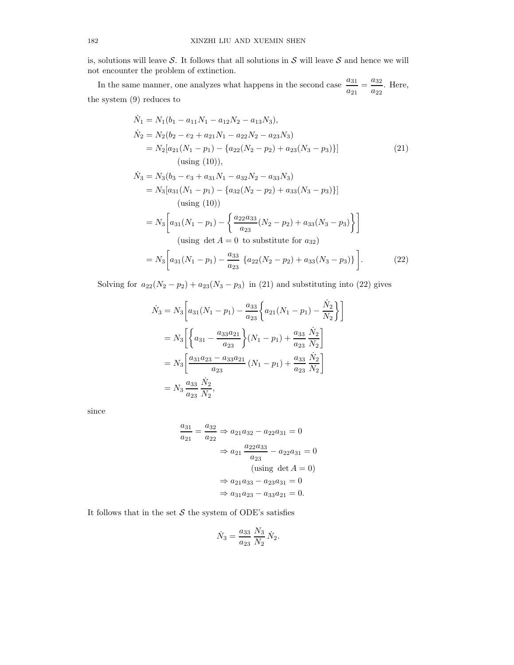is, solutions will leave S. It follows that all solutions in S will leave S and hence we will not encounter the problem of extinction.

In the same manner, one analyzes what happens in the second case  $\frac{a_{31}}{a_{31}}$  $\frac{a_{31}}{a_{21}} = \frac{a_{32}}{a_{22}}$  $\frac{a_{32}}{a_{22}}$ . Here, the system (9) reduces to

$$
\dot{N}_1 = N_1(b_1 - a_{11}N_1 - a_{12}N_2 - a_{13}N_3),
$$
\n
$$
\dot{N}_2 = N_2(b_2 - e_2 + a_{21}N_1 - a_{22}N_2 - a_{23}N_3)
$$
\n
$$
= N_2[a_{21}(N_1 - p_1) - \{a_{22}(N_2 - p_2) + a_{23}(N_3 - p_3)\}]
$$
\n
$$
\text{(using (10))}, \tag{21}
$$

$$
\dot{N}_3 = N_3(b_3 - e_3 + a_{31}N_1 - a_{32}N_2 - a_{33}N_3)
$$
  
\n
$$
= N_3[a_{31}(N_1 - p_1) - \{a_{32}(N_2 - p_2) + a_{33}(N_3 - p_3)\}]
$$
  
\n(sing (10))  
\n
$$
= N_3\left[a_{31}(N_1 - p_1) - \left\{\frac{a_{22}a_{33}}{a_{23}}(N_2 - p_2) + a_{33}(N_3 - p_3)\right\}\right]
$$
  
\n(sing det A = 0 to substitute for a<sub>32</sub>)  
\n
$$
= N_3\left[a_{31}(N_1 - p_1) - \frac{a_{33}}{a_{23}}\left\{a_{22}(N_2 - p_2) + a_{33}(N_3 - p_3)\right\}\right].
$$
\n(22)

Solving for  $a_{22}(N_2 - p_2) + a_{23}(N_3 - p_3)$  in (21) and substituting into (22) gives

$$
\dot{N}_3 = N_3 \left[ a_{31} (N_1 - p_1) - \frac{a_{33}}{a_{23}} \left\{ a_{21} (N_1 - p_1) - \frac{\dot{N}_2}{N_2} \right\} \right]
$$
  
\n
$$
= N_3 \left[ \left\{ a_{31} - \frac{a_{33} a_{21}}{a_{23}} \right\} (N_1 - p_1) + \frac{a_{33}}{a_{23}} \frac{\dot{N}_2}{N_2} \right]
$$
  
\n
$$
= N_3 \left[ \frac{a_{31} a_{23} - a_{33} a_{21}}{a_{23}} (N_1 - p_1) + \frac{a_{33}}{a_{23}} \frac{\dot{N}_2}{N_2} \right]
$$
  
\n
$$
= N_3 \frac{a_{33}}{a_{23}} \frac{\dot{N}_2}{N_2},
$$

since

$$
\frac{a_{31}}{a_{21}} = \frac{a_{32}}{a_{22}} \Rightarrow a_{21}a_{32} - a_{22}a_{31} = 0
$$
  

$$
\Rightarrow a_{21} \frac{a_{22}a_{33}}{a_{23}} - a_{22}a_{31} = 0
$$
  
(using det  $A = 0$ )  

$$
\Rightarrow a_{21}a_{33} - a_{23}a_{31} = 0
$$
  

$$
\Rightarrow a_{31}a_{23} - a_{33}a_{21} = 0.
$$

It follows that in the set  $S$  the system of ODE's satisfies

$$
\dot{N}_3 = \frac{a_{33}}{a_{23}} \frac{N_3}{N_2} \dot{N}_2.
$$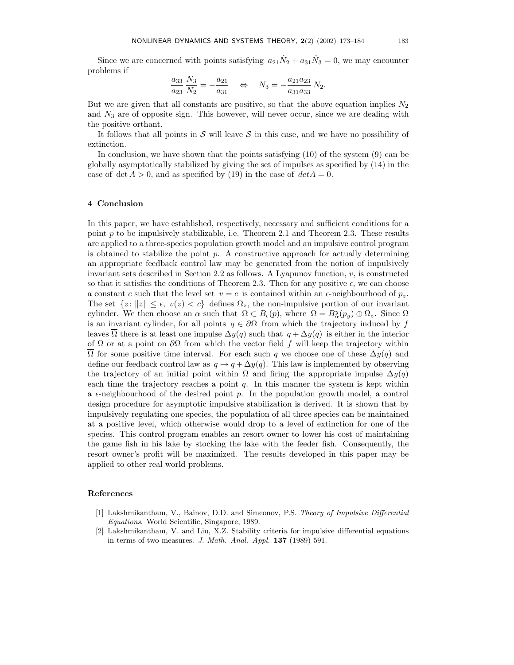Since we are concerned with points satisfying  $a_{21}\dot{N}_2 + a_{31}\dot{N}_3 = 0$ , we may encounter problems if

$$
\frac{a_{33}}{a_{23}} \frac{N_3}{N_2} = -\frac{a_{21}}{a_{31}} \quad \Leftrightarrow \quad N_3 = -\frac{a_{21}a_{23}}{a_{31}a_{33}} N_2.
$$

But we are given that all constants are positive, so that the above equation implies  $N_2$ and  $N_3$  are of opposite sign. This however, will never occur, since we are dealing with the positive orthant.

It follows that all points in  $S$  will leave  $S$  in this case, and we have no possibility of extinction.

In conclusion, we have shown that the points satisfying  $(10)$  of the system  $(9)$  can be globally asymptotically stabilized by giving the set of impulses as specified by (14) in the case of det  $A > 0$ , and as specified by (19) in the case of  $det A = 0$ .

## 4 Conclusion

In this paper, we have established, respectively, necessary and sufficient conditions for a point  $p$  to be impulsively stabilizable, i.e. Theorem 2.1 and Theorem 2.3. These results are applied to a three-species population growth model and an impulsive control program is obtained to stabilize the point  $p$ . A constructive approach for actually determining an appropriate feedback control law may be generated from the notion of impulsively invariant sets described in Section 2.2 as follows. A Lyapunov function,  $v$ , is constructed so that it satisfies the conditions of Theorem 2.3. Then for any positive  $\epsilon$ , we can choose a constant c such that the level set  $v = c$  is contained within an  $\epsilon$ -neighbourhood of  $p_z$ . The set  $\{z: ||z|| \leq \epsilon, v(z) < c\}$  defines  $\Omega_z$ , the non-impulsive portion of our invariant cylinder. We then choose an  $\alpha$  such that  $\Omega \subset B_{\epsilon}(p)$ , where  $\Omega = B_{\alpha}^{y}(p_{y}) \oplus \Omega_{z}$ . Since  $\Omega$ is an invariant cylinder, for all points  $q \in \partial \Omega$  from which the trajectory induced by f leaves  $\Omega$  there is at least one impulse  $\Delta y(q)$  such that  $q + \Delta y(q)$  is either in the interior of  $\Omega$  or at a point on  $\partial\Omega$  from which the vector field f will keep the trajectory within  $\overline{\Omega}$  for some positive time interval. For each such q we choose one of these  $\Delta y(q)$  and define our feedback control law as  $q \mapsto q + \Delta y(q)$ . This law is implemented by observing the trajectory of an initial point within  $\Omega$  and firing the appropriate impulse  $\Delta y(q)$ each time the trajectory reaches a point  $q$ . In this manner the system is kept within a  $\epsilon$ -neighbourhood of the desired point p. In the population growth model, a control design procedure for asymptotic impulsive stabilization is derived. It is shown that by impulsively regulating one species, the population of all three species can be maintained at a positive level, which otherwise would drop to a level of extinction for one of the species. This control program enables an resort owner to lower his cost of maintaining the game fish in his lake by stocking the lake with the feeder fish. Consequently, the resort owner's profit will be maximized. The results developed in this paper may be applied to other real world problems.

# References

- [1] Lakshmikantham, V., Bainov, D.D. and Simeonov, P.S. Theory of Impulsive Differential Equations. World Scientific, Singapore, 1989.
- [2] Lakshmikantham, V. and Liu, X.Z. Stability criteria for impulsive differential equations in terms of two measures. J. Math. Anal. Appl. 137 (1989) 591.